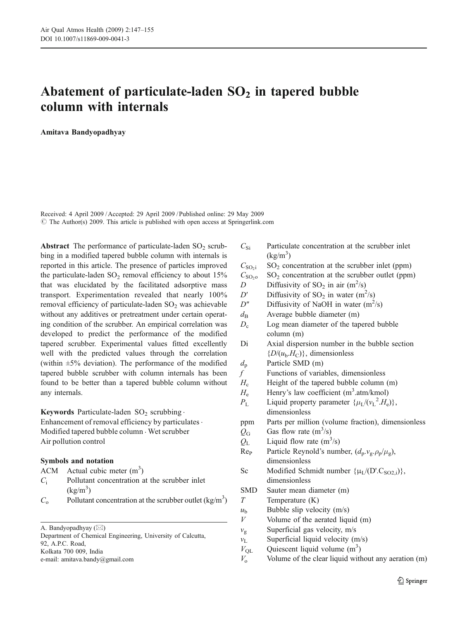# Abatement of particulate-laden  $SO<sub>2</sub>$  in tapered bubble column with internals

Amitava Bandyopadhyay

Received: 4 April 2009 /Accepted: 29 April 2009 / Published online: 29 May 2009  $\circ$  The Author(s) 2009. This article is published with open access at Springerlink.com

Abstract The performance of particulate-laden  $SO_2$  scrubbing in a modified tapered bubble column with internals is reported in this article. The presence of particles improved the particulate-laden  $SO<sub>2</sub>$  removal efficiency to about  $15%$ that was elucidated by the facilitated adsorptive mass transport. Experimentation revealed that nearly 100% removal efficiency of particulate-laden  $SO<sub>2</sub>$  was achievable without any additives or pretreatment under certain operating condition of the scrubber. An empirical correlation was developed to predict the performance of the modified tapered scrubber. Experimental values fitted excellently well with the predicted values through the correlation (within  $\pm 5\%$  deviation). The performance of the modified tapered bubble scrubber with column internals has been found to be better than a tapered bubble column without any internals.

Keywords Particulate-laden  $SO_2$  scrubbing .

Enhancement of removal efficiency by particulates  $\cdot$ Modified tapered bubble column . Wet scrubber Air pollution control

# Symbols and notation

ACM Actual cubic meter  $(m<sup>3</sup>)$ 

- $C_i$  Pollutant concentration at the scrubber inlet  $(kg/m^3)$
- $C_0$  Pollutant concentration at the scrubber outlet (kg/m<sup>3</sup>)

A. Bandyopadhyay ( $\boxtimes$ )

Department of Chemical Engineering, University of Calcutta, 92, A.P.C. Road,

Kolkata 700 009, India

e-mail: amitava.bandy@gmail.com

 $C_{\rm Si}$  Particulate concentration at the scrubber inlet  $(kg/m^3)$ 

 $C_{\text{SO}_2i}$  SO<sub>2</sub> concentration at the scrubber inlet (ppm)

 $C<sub>SO<sub>2</sub></sub>$  SO<sub>2</sub> concentration at the scrubber outlet (ppm)

- D Diffusivity of  $SO_2$  in air  $(m^2/s)$
- D' Diffusivity of SO<sub>2</sub> in water  $(m^2/s)$
- $D''$  Diffusivity of NaOH in water  $(m^2/s)$
- $d_{\rm B}$  Average bubble diameter (m)
- $D_{\rm c}$  Log mean diameter of the tapered bubble column (m)
- Di Axial dispersion number in the bubble section  ${D/(u_b,H_c)}$ , dimensionless
- $d_p$  Particle SMD (m)
- $f$  Functions of variables, dimensionless
- $H_c$  Height of the tapered bubble column (m)
- $H_e$  Henry's law coefficient (m<sup>3</sup>.atm/kmol)
- $P_{\rm L}$  Liquid property parameter  $\{\mu_{\rm L}/(\nu_{\rm L}^2 \cdot H_{\rm e})\},$ dimensionless
- ppm Parts per million (volume fraction), dimensionless
- $Q_G$  Gas flow rate  $(m^3/s)$
- $Q_{\rm L}$  Liquid flow rate  $(m^3/s)$
- Re<sub>P</sub> Particle Reynold's number,  $(d_p.v_g.\rho_p/\mu_g)$ , dimensionless
- Sc Modified Schmidt number  $\{\mu_I/(D'.C_{SO(2)})\},\$ dimensionless
- SMD Sauter mean diameter (m)
- $T$  Temperature  $(K)$
- $u<sub>b</sub>$  Bubble slip velocity (m/s)
- $V$  Volume of the aerated liquid (m)
- $v_{\rm g}$  Superficial gas velocity, m/s
- $v_L$  Superficial liquid velocity (m/s)
- $V_{QL}$  Quiescent liquid volume (m<sup>3</sup>)
- $V_0$  Volume of the clear liquid without any aeration (m)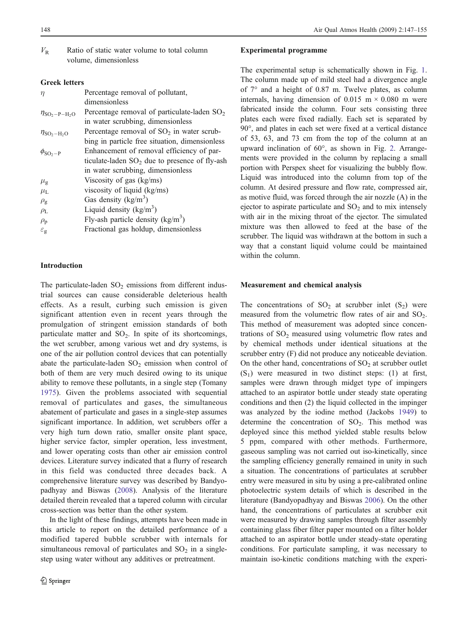# Greek letters

| $\eta$                                           | Percentage removal of pollutant,                 |
|--------------------------------------------------|--------------------------------------------------|
|                                                  | dimensionless                                    |
| $\eta_{\text{SO}_2-\text{P}-\text{H}_2\text{O}}$ | Percentage removal of particulate-laden $SO_2$   |
|                                                  | in water scrubbing, dimensionless                |
| $\eta_{\text{SO}_2-\text{H}_2\text{O}}$          | Percentage removal of $SO2$ in water scrub-      |
|                                                  | bing in particle free situation, dimensionless   |
| $\phi_{\text{SO}_2-\text{P}}$                    | Enhancement of removal efficiency of par-        |
|                                                  | ticulate-laden $SO_2$ due to presence of fly-ash |
|                                                  | in water scrubbing, dimensionless                |
| $\mu_{\rm g}$                                    | Viscosity of gas $(kg/ms)$                       |
| $\mu_{\rm L}$                                    | viscosity of liquid $(kg/ms)$                    |
| $\rho_{\rm g}$                                   | Gas density $(kg/m^3)$                           |
| $\rho_L$                                         | Liquid density $(kg/m^3)$                        |
| $\rho_{\rm p}$                                   | Fly-ash particle density $(kg/m3)$               |
| $\varepsilon_{\rm g}$                            | Fractional gas holdup, dimensionless             |
|                                                  |                                                  |

## Introduction

The particulate-laden  $SO<sub>2</sub>$  emissions from different industrial sources can cause considerable deleterious health effects. As a result, curbing such emission is given significant attention even in recent years through the promulgation of stringent emission standards of both particulate matter and  $SO_2$ . In spite of its shortcomings, the wet scrubber, among various wet and dry systems, is one of the air pollution control devices that can potentially abate the particulate-laden  $SO_2$  emission when control of both of them are very much desired owing to its unique ability to remove these pollutants, in a single step (Tomany [1975\)](#page-8-0). Given the problems associated with sequential removal of particulates and gases, the simultaneous abatement of particulate and gases in a single-step assumes significant importance. In addition, wet scrubbers offer a very high turn down ratio, smaller onsite plant space, higher service factor, simpler operation, less investment, and lower operating costs than other air emission control devices. Literature survey indicated that a flurry of research in this field was conducted three decades back. A comprehensive literature survey was described by Bandyopadhyay and Biswas ([2008\)](#page-8-0). Analysis of the literature detailed therein revealed that a tapered column with circular cross-section was better than the other system.

In the light of these findings, attempts have been made in this article to report on the detailed performance of a modified tapered bubble scrubber with internals for simultaneous removal of particulates and  $SO<sub>2</sub>$  in a singlestep using water without any additives or pretreatment.

# Experimental programme

The experimental setup is schematically shown in Fig. [1](#page-2-0). The column made up of mild steel had a divergence angle of 7° and a height of 0.87 m. Twelve plates, as column internals, having dimension of 0.015 m  $\times$  0.080 m were fabricated inside the column. Four sets consisting three plates each were fixed radially. Each set is separated by 90°, and plates in each set were fixed at a vertical distance of 53, 63, and 73 cm from the top of the column at an upward inclination of 60°, as shown in Fig. [2](#page-2-0). Arrangements were provided in the column by replacing a small portion with Perspex sheet for visualizing the bubbly flow. Liquid was introduced into the column from top of the column. At desired pressure and flow rate, compressed air, as motive fluid, was forced through the air nozzle (A) in the ejector to aspirate particulate and  $SO<sub>2</sub>$  and to mix intensely with air in the mixing throat of the ejector. The simulated mixture was then allowed to feed at the base of the scrubber. The liquid was withdrawn at the bottom in such a way that a constant liquid volume could be maintained within the column.

#### Measurement and chemical analysis

The concentrations of  $SO_2$  at scrubber inlet  $(S_2)$  were measured from the volumetric flow rates of air and  $SO<sub>2</sub>$ . This method of measurement was adopted since concentrations of  $SO<sub>2</sub>$  measured using volumetric flow rates and by chemical methods under identical situations at the scrubber entry (F) did not produce any noticeable deviation. On the other hand, concentrations of  $SO<sub>2</sub>$  at scrubber outlet  $(S_1)$  were measured in two distinct steps: (1) at first, samples were drawn through midget type of impingers attached to an aspirator bottle under steady state operating conditions and then (2) the liquid collected in the impinger was analyzed by the iodine method (Jackobs [1949](#page-8-0)) to determine the concentration of  $SO_2$ . This method was deployed since this method yielded stable results below 5 ppm, compared with other methods. Furthermore, gaseous sampling was not carried out iso-kinetically, since the sampling efficiency generally remained in unity in such a situation. The concentrations of particulates at scrubber entry were measured in situ by using a pre-calibrated online photoelectric system details of which is described in the literature (Bandyopadhyay and Biswas [2006](#page-8-0)). On the other hand, the concentrations of particulates at scrubber exit were measured by drawing samples through filter assembly containing glass fiber filter paper mounted on a filter holder attached to an aspirator bottle under steady-state operating conditions. For particulate sampling, it was necessary to maintain iso-kinetic conditions matching with the experi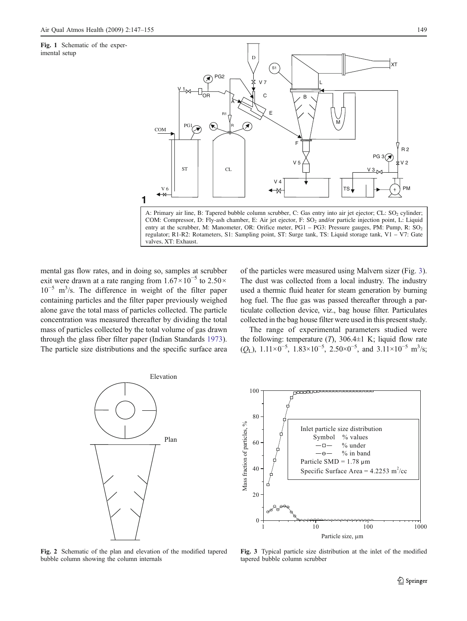<span id="page-2-0"></span>Fig. 1 Schematic of the experimental setup



COM: Compressor, D: Fly-ash chamber, E: Air jet ejector, F: SO<sub>2</sub> and/or particle injection point, L: Liquid entry at the scrubber, M: Manometer, OR: Orifice meter, PG1 – PG3: Pressure gauges, PM: Pump, R: SO<sub>2</sub> regulator; R1-R2: Rotameters, S1: Sampling point, ST: Surge tank, TS: Liquid storage tank, V1 – V7: Gate valves, XT: Exhaust.

mental gas flow rates, and in doing so, samples at scrubber exit were drawn at a rate ranging from  $1.67 \times 10^{-5}$  to  $2.50 \times$ 10−<sup>5</sup> m<sup>3</sup> /s. The difference in weight of the filter paper containing particles and the filter paper previously weighed alone gave the total mass of particles collected. The particle concentration was measured thereafter by dividing the total mass of particles collected by the total volume of gas drawn through the glass fiber filter paper (Indian Standards [1973](#page-8-0)). The particle size distributions and the specific surface area

**1**

of the particles were measured using Malvern sizer (Fig. 3). The dust was collected from a local industry. The industry used a thermic fluid heater for steam generation by burning hog fuel. The flue gas was passed thereafter through a particulate collection device, viz., bag house filter. Particulates collected in the bag house filter were used in this present study.

The range of experimental parameters studied were the following: temperature  $(T)$ , 306.4 $\pm$ 1 K; liquid flow rate  $(Q_L)$ , 1.11×0<sup>-5</sup>, 1.83×10<sup>-5</sup>, 2.50×0<sup>-5</sup>, and 3.11×10<sup>-5</sup> m<sup>3</sup>/s;



Fig. 2 Schematic of the plan and elevation of the modified tapered bubble column showing the column internals



Fig. 3 Typical particle size distribution at the inlet of the modified tapered bubble column scrubber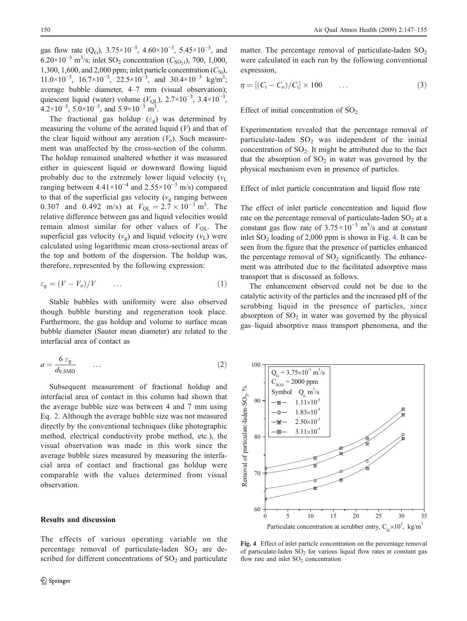<span id="page-3-0"></span>gas flow rate  $(Q_G)$ , 3.75×10<sup>-3</sup>, 4.60×10<sup>-3</sup>, 5.45×10<sup>-3</sup>, and 6.20×10<sup>-3</sup> m<sup>3</sup>/s; inlet SO<sub>2</sub> concentration ( $C_{\text{SO}_2}$ i), 700, 1,000, 1,300, 1,600, and 2,000 ppm; inlet particle concentration  $(C_{\text{Si}})$ , 11.0×10<sup>-3</sup>, 16.7×10<sup>-3</sup>, 22.5×10<sup>-3</sup>, and 30.4×10<sup>-3</sup> kg/m<sup>3</sup>; average bubble diameter, 4–7 mm (visual observation); quiescent liquid (water) volume  $(V_{QL})$ , 2.7×10<sup>-3</sup>, 3.4×10<sup>-3</sup>,  $4.2 \times 10^{-3}$ ,  $5.0 \times 10^{-3}$ , and  $5.9 \times 10^{-3}$  m<sup>3</sup>.

The fractional gas holdup ( $\varepsilon_g$ ) was determined by measuring the volume of the aerated liquid  $(V)$  and that of the clear liquid without any aeration  $(V_0)$ . Such measurement was unaffected by the cross-section of the column. The holdup remained unaltered whether it was measured either in quiescent liquid or downward flowing liquid probably due to the extremely lower liquid velocity  $(v<sub>L</sub>)$ ranging between  $4.41 \times 10^{-4}$  and  $2.55 \times 10^{-3}$  m/s) compared to that of the superficial gas velocity ( $v_{\rm g}$  ranging between 0.307 and 0.492 m/s) at  $V_{QL} = 2.7 \times 10^{-3}$  m<sup>3</sup>. The relative difference between gas and liquid velocities would remain almost similar for other values of  $V_{\text{OL}}$ . The superficial gas velocity  $(v_g)$  and liquid velocity  $(v_L)$  were calculated using logarithmic mean cross-sectional areas of the top and bottom of the dispersion. The holdup was, therefore, represented by the following expression:

$$
\varepsilon_{\rm g} = (V - V_{\rm o})/V \qquad \dots \tag{1}
$$

Stable bubbles with uniformity were also observed though bubble bursting and regeneration took place. Furthermore, the gas holdup and volume to surface mean bubble diameter (Sauter mean diameter) are related to the interfacial area of contact as

$$
a = \frac{6 \varepsilon_{\rm g}}{d_{\rm b, SMD}} \qquad \dots \tag{2}
$$

Subsequent measurement of fractional holdup and interfacial area of contact in this column had shown that the average bubble size was between 4 and 7 mm using Eq. 2. Although the average bubble size was not measured directly by the conventional techniques (like photographic method, electrical conductivity probe method, etc.), the visual observation was made in this work since the average bubble sizes measured by measuring the interfacial area of contact and fractional gas holdup were comparable with the values determined from visual observation.

The effects of various operating variable on the percentage removal of particulate-laden  $SO_2$  are described for different concentrations of  $SO<sub>2</sub>$  and particulate

matter. The percentage removal of particulate-laden  $SO_2$ were calculated in each run by the following conventional expression,

$$
\eta = [(C_{\rm i}-C_{\rm o})/C_{\rm i}] \times 100 \qquad \dots \qquad (3)
$$

Effect of initial concentration of  $SO<sub>2</sub>$ 

Experimentation revealed that the percentage removal of particulate-laden  $SO_2$  was independent of the initial concentration of  $SO_2$ . It might be attributed due to the fact that the absorption of  $SO<sub>2</sub>$  in water was governed by the physical mechanism even in presence of particles.

Effect of inlet particle concentration and liquid flow rate

The effect of inlet particle concentration and liquid flow rate on the percentage removal of particulate-laden  $SO<sub>2</sub>$  at a constant gas flow rate of  $3.75 \times 10^{-3}$  m<sup>3</sup>/s and at constant inlet  $SO<sub>2</sub>$  loading of 2,000 ppm is shown in Fig. 4. It can be seen from the figure that the presence of particles enhanced the percentage removal of  $SO_2$  significantly. The enhancement was attributed due to the facilitated adsorptive mass transport that is discussed as follows.

The enhancement observed could not be due to the catalytic activity of the particles and the increased pH of the scrubbing liquid in the presence of particles, since absorption of  $SO<sub>2</sub>$  in water was governed by the physical gas–liquid absorptive mass transport phenomena, and the



Fig. 4 Effect of inlet particle concentration on the percentage removal of particulate-laden  $SO_2$  for various liquid flow rates at constant gas flow rate and inlet  $SO<sub>2</sub>$  concentration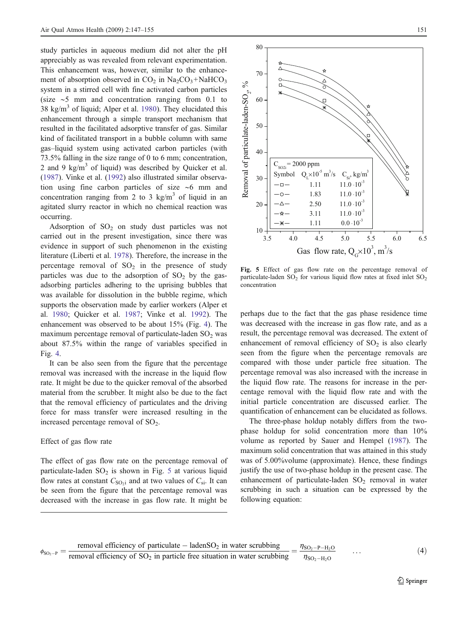<span id="page-4-0"></span>study particles in aqueous medium did not alter the pH appreciably as was revealed from relevant experimentation. This enhancement was, however, similar to the enhancement of absorption observed in  $CO_2$  in  $Na_2CO_3 + NaHCO_3$ system in a stirred cell with fine activated carbon particles (size ∼5 mm and concentration ranging from 0.1 to 38 kg/m<sup>3</sup> of liquid; Alper et al. [1980\)](#page-8-0). They elucidated this enhancement through a simple transport mechanism that resulted in the facilitated adsorptive transfer of gas. Similar kind of facilitated transport in a bubble column with same gas–liquid system using activated carbon particles (with 73.5% falling in the size range of 0 to 6 mm; concentration, 2 and 9 kg/m<sup>3</sup> of liquid) was described by Quicker et al. ([1987\)](#page-8-0). Vinke et al. [\(1992](#page-8-0)) also illustrated similar observation using fine carbon particles of size ∼6 mm and concentration ranging from 2 to 3 kg/m<sup>3</sup> of liquid in an agitated slurry reactor in which no chemical reaction was occurring.

Adsorption of  $SO<sub>2</sub>$  on study dust particles was not carried out in the present investigation, since there was evidence in support of such phenomenon in the existing literature (Liberti et al. [1978\)](#page-8-0). Therefore, the increase in the percentage removal of  $SO_2$  in the presence of study particles was due to the adsorption of  $SO<sub>2</sub>$  by the gasadsorbing particles adhering to the uprising bubbles that was available for dissolution in the bubble regime, which supports the observation made by earlier workers (Alper et al. [1980;](#page-8-0) Quicker et al. [1987](#page-8-0); Vinke et al. [1992](#page-8-0)). The enhancement was observed to be about 15% (Fig. [4](#page-3-0)). The maximum percentage removal of particulate-laden  $SO<sub>2</sub>$  was about 87.5% within the range of variables specified in Fig. [4.](#page-3-0)

It can be also seen from the figure that the percentage removal was increased with the increase in the liquid flow rate. It might be due to the quicker removal of the absorbed material from the scrubber. It might also be due to the fact that the removal efficiency of particulates and the driving force for mass transfer were increased resulting in the increased percentage removal of  $SO<sub>2</sub>$ .

## Effect of gas flow rate

The effect of gas flow rate on the percentage removal of particulate-laden  $SO_2$  is shown in Fig. 5 at various liquid flow rates at constant  $C_{SO<sub>2</sub>}$  and at two values of  $C_{si}$ . It can be seen from the figure that the percentage removal was decreased with the increase in gas flow rate. It might be



Fig. 5 Effect of gas flow rate on the percentage removal of particulate-laden  $SO_2$  for various liquid flow rates at fixed inlet  $SO_2$ concentration

perhaps due to the fact that the gas phase residence time was decreased with the increase in gas flow rate, and as a result, the percentage removal was decreased. The extent of enhancement of removal efficiency of  $SO<sub>2</sub>$  is also clearly seen from the figure when the percentage removals are compared with those under particle free situation. The percentage removal was also increased with the increase in the liquid flow rate. The reasons for increase in the percentage removal with the liquid flow rate and with the initial particle concentration are discussed earlier. The quantification of enhancement can be elucidated as follows.

The three-phase holdup notably differs from the twophase holdup for solid concentration more than 10% volume as reported by Sauer and Hempel [\(1987](#page-8-0)). The maximum solid concentration that was attained in this study was of 5.00%volume (approximate). Hence, these findings justify the use of two-phase holdup in the present case. The enhancement of particulate-laden  $SO_2$  removal in water scrubbing in such a situation can be expressed by the following equation:

$$
\phi_{SO_2-P} = \frac{\text{removal efficiency of particular} - \text{ladenSO}_2 \text{ in water scrubbing}}{\text{removal efficiency of SO}_2 \text{ in particle free situation in water scrubbing}} = \frac{\eta_{SO_2-P-H_2O}}{\eta_{SO_2-H_2O}} \qquad \dots \qquad (4)
$$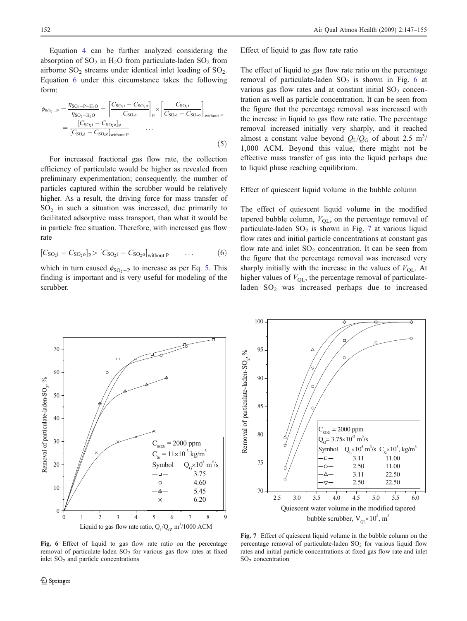Equation [4](#page-4-0) can be further analyzed considering the absorption of  $SO_2$  in  $H_2O$  from particulate-laden  $SO_2$  from airborne  $SO_2$  streams under identical inlet loading of  $SO_2$ . Equation 6 under this circumstance takes the following form:

$$
\phi_{SO_2-P} = \frac{\eta_{SO_2-P-H_2O}}{\eta_{SO_2-H_2O}} = \left[\frac{C_{SO_2i} - C_{SO_2o}}{C_{SO_2i}}\right]_P \times \left[\frac{C_{SO_2i}}{C_{SO_2i} - C_{SO_2o}}\right]_{without P}
$$

$$
= \frac{[C_{SO_2i} - C_{SO_2o}]_P}{[C_{SO_2i} - C_{SO_2o}]_{without P}}
$$
(5)

For increased fractional gas flow rate, the collection efficiency of particulate would be higher as revealed from preliminary experimentation; consequently, the number of particles captured within the scrubber would be relatively higher. As a result, the driving force for mass transfer of  $SO<sub>2</sub>$  in such a situation was increased, due primarily to facilitated adsorptive mass transport, than what it would be in particle free situation. Therefore, with increased gas flow rate

$$
[C_{SO_2i}-C_{SO_20}]_P>[C_{SO_2i}-C_{SO_20}]_{without P} \qquad \dots \qquad (6)
$$

which in turn caused  $\phi_{\text{SO}_2-P}$  to increase as per Eq. 5. This finding is important and is very useful for modeling of the scrubber.

Effect of liquid to gas flow rate ratio

The effect of liquid to gas flow rate ratio on the percentage removal of particulate-laden  $SO_2$  is shown in Fig. 6 at various gas flow rates and at constant initial  $SO<sub>2</sub>$  concentration as well as particle concentration. It can be seen from the figure that the percentage removal was increased with the increase in liquid to gas flow rate ratio. The percentage removal increased initially very sharply, and it reached almost a constant value beyond  $Q_{L}/Q_{G}$  of about 2.5 m<sup>3</sup>/ 1,000 ACM. Beyond this value, there might not be effective mass transfer of gas into the liquid perhaps due to liquid phase reaching equilibrium.

Effect of quiescent liquid volume in the bubble column

The effect of quiescent liquid volume in the modified tapered bubble column,  $V_{\text{QL}}$ , on the percentage removal of particulate-laden  $SO_2$  is shown in Fig. 7 at various liquid flow rates and initial particle concentrations at constant gas flow rate and inlet  $SO_2$  concentration. It can be seen from the figure that the percentage removal was increased very sharply initially with the increase in the values of  $V_{\text{OL}}$ . At higher values of  $V_{\text{QL}}$ , the percentage removal of particulateladen SO<sub>2</sub> was increased perhaps due to increased



100 95  $\%$ Removal of particulate-laden-SO<sub>2</sub>, Removal of particulate-laden-SO<sub>2</sub>, 90 85  $C_{\text{SO2i}} = 2000 \text{ ppm}$ 80  $Q_G$ = 3.75×10<sup>-3</sup> m<sup>3</sup>/s  $\times 10^5$  m<sup>3</sup>/s C<sub>Si</sub> $\times 10^3$ , kg/m<sup>3</sup>  $Symbol$ <br>- $\Box$  3.11 11.00 75  $\circ$  2.50 11.00 3.11 22.50  $\Delta$  2.50 22.50  $7<sup>7</sup>$ 2.5 3.0 3.5 4.0 4.5 5.0 5.5 6.0 Quiescent water volume in the modified tapered bubble scrubber,  $V_{QL} \times 10^3$ , m<sup>3</sup>

Fig. 6 Effect of liquid to gas flow rate ratio on the percentage removal of particulate-laden  $SO_2$  for various gas flow rates at fixed inlet  $SO<sub>2</sub>$  and particle concentrations

Fig. 7 Effect of quiescent liquid volume in the bubble column on the percentage removal of particulate-laden  $SO<sub>2</sub>$  for various liquid flow rates and initial particle concentrations at fixed gas flow rate and inlet SO2 concentration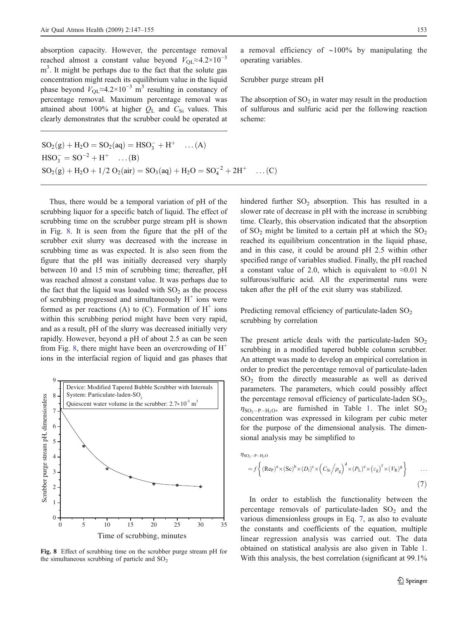absorption capacity. However, the percentage removal reached almost a constant value beyond  $V_{\text{OL}} \approx 4.2 \times 10^{-3}$ m<sup>3</sup>. It might be perhaps due to the fact that the solute gas concentration might reach its equilibrium value in the liquid phase beyond  $V_{OL} \approx 4.2 \times 10^{-3}$  m<sup>3</sup> resulting in constancy of percentage removal. Maximum percentage removal was attained about 100% at higher  $Q_L$  and  $C_{Si}$  values. This clearly demonstrates that the scrubber could be operated at

 $SO_2(g) + H_2O = SO_2(aq) = HSO_3^- + H^+$  ...(A)  $HSO_3^- = SO^{-2} + H^+$  ... (B)  $SO_2(g) + H_2O + 1/2 O_2(air) = SO_3(aq) + H_2O = SO_4^{-2} + 2H^+ \quad \dots (C)$ 

Thus, there would be a temporal variation of pH of the scrubbing liquor for a specific batch of liquid. The effect of scrubbing time on the scrubber purge stream pH is shown in Fig. 8. It is seen from the figure that the pH of the scrubber exit slurry was decreased with the increase in scrubbing time as was expected. It is also seen from the figure that the pH was initially decreased very sharply between 10 and 15 min of scrubbing time; thereafter, pH was reached almost a constant value. It was perhaps due to the fact that the liquid was loaded with  $SO<sub>2</sub>$  as the process of scrubbing progressed and simultaneously  $H^+$  ions were formed as per reactions (A) to (C). Formation of  $H^+$  ions within this scrubbing period might have been very rapid, and as a result, pH of the slurry was decreased initially very rapidly. However, beyond a pH of about 2.5 as can be seen from Fig. 8, there might have been an overcrowding of  $H^+$ ions in the interfacial region of liquid and gas phases that



Fig. 8 Effect of scrubbing time on the scrubber purge stream pH for the simultaneous scrubbing of particle and  $SO<sub>2</sub>$ 

a removal efficiency of ∼100% by manipulating the operating variables.

Scrubber purge stream pH

The absorption of  $SO<sub>2</sub>$  in water may result in the production of sulfurous and sulfuric acid per the following reaction scheme:

hindered further  $SO_2$  absorption. This has resulted in a slower rate of decrease in pH with the increase in scrubbing time. Clearly, this observation indicated that the absorption of  $SO_2$  might be limited to a certain pH at which the  $SO_2$ reached its equilibrium concentration in the liquid phase, and in this case, it could be around pH 2.5 within other specified range of variables studied. Finally, the pH reached a constant value of 2.0, which is equivalent to  $\approx 0.01$  N sulfurous/sulfuric acid. All the experimental runs were taken after the pH of the exit slurry was stabilized.

Predicting removal efficiency of particulate-laden  $SO_2$ scrubbing by correlation

The present article deals with the particulate-laden  $SO_2$ scrubbing in a modified tapered bubble column scrubber. An attempt was made to develop an empirical correlation in order to predict the percentage removal of particulate-laden SO2 from the directly measurable as well as derived parameters. The parameters, which could possibly affect the percentage removal efficiency of particulate-laden  $SO<sub>2</sub>$ ,  $\eta_{\text{SO}_2-P-H_2O}$ , are furnished in Table [1.](#page-7-0) The inlet  $\text{SO}_2$ concentration was expressed in kilogram per cubic meter for the purpose of the dimensional analysis. The dimensional analysis may be simplified to

$$
\eta_{\rm SO_2-P-H_2O}
$$

$$
=f\left\{ (\text{Re}_{\text{P}})^{a} \times (\text{Sc})^{b} \times (D_{i})^{c} \times (C_{\text{Si}}/\rho_{g})^{d} \times (P_{\text{L}})^{e} \times (\varepsilon_{g})^{f} \times (V_{\text{R}})^{g} \right\} \tag{7}
$$

In order to establish the functionality between the percentage removals of particulate-laden  $SO_2$  and the various dimensionless groups in Eq. 7, as also to evaluate the constants and coefficients of the equation, multiple linear regression analysis was carried out. The data obtained on statistical analysis are also given in Table [1](#page-7-0). With this analysis, the best correlation (significant at 99.1%)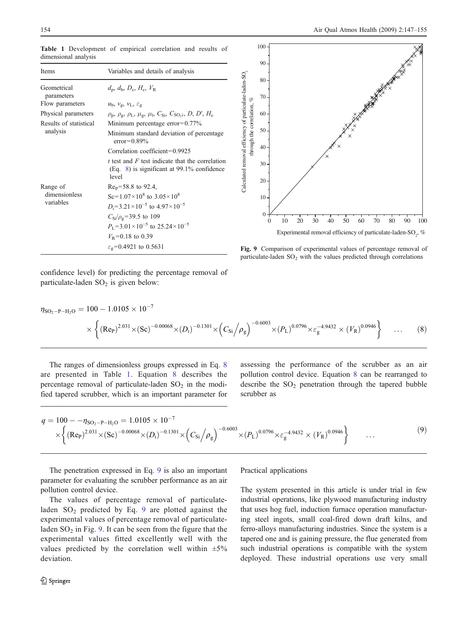| <b>Items</b>              | Variables and details of analysis                                                                                 |
|---------------------------|-------------------------------------------------------------------------------------------------------------------|
| Geometrical<br>parameters | $d_{\rm p}$ , $d_{\rm b}$ , $D_{\rm c}$ , $H_{\rm c}$ , $V_{\rm R}$                                               |
| Flow parameters           | $u_{\rm b}$ , $v_{\rm g}$ , $v_{\rm L}$ , $\varepsilon_{\rm g}$                                                   |
| Physical parameters       | $\rho_{\rm p}, \rho_{\rm g}, \rho_{\rm L}, \mu_{\rm g}, \mu_{\rm l}, C_{\rm Si}, C_{\rm SO_2i}, D, D', H_{\rm e}$ |
| Results of statistical    | Minimum percentage error= $0.77\%$                                                                                |
| analysis                  | Minimum standard deviation of percentage<br>$error=0.89\%$                                                        |
|                           | Correlation coefficient= $0.9925$                                                                                 |
|                           | t test and $F$ test indicate that the correlation<br>$(Eq. 8)$ is significant at 99.1% confidence<br>level        |
| Range of                  | $ReP=58.8$ to 92.4,                                                                                               |
| dimensionless             | Sc= $1.07 \times 10^8$ to $3.05 \times 10^8$                                                                      |
| variables                 | $D_i = 3.21 \times 10^{-5}$ to $4.97 \times 10^{-5}$                                                              |
|                           | $C_{\rm Si}/\rho_{\rm g}$ =39.5 to 109                                                                            |
|                           | $P_{\rm L}$ =3.01 × 10 <sup>-5</sup> to 25.24 × 10 <sup>-5</sup>                                                  |
|                           | $V_{\rm R}$ =0.18 to 0.39                                                                                         |
|                           | $\varepsilon_{\rm g}$ =0.4921 to 0.5631                                                                           |
|                           |                                                                                                                   |

<span id="page-7-0"></span>Table 1 Development of empirical correlation and results of dimensional analysis



Fig. 9 Comparison of experimental values of percentage removal of particulate-laden  $SO<sub>2</sub>$  with the values predicted through correlations

confidence level) for predicting the percentage removal of particulate-laden  $SO<sub>2</sub>$  is given below:

$$
\eta_{\text{SO}_2-\text{P-H}_2\text{O}} = 100 - 1.0105 \times 10^{-7}
$$
\n
$$
\times \left\{ (\text{Re}_{\text{P}})^{2.031} \times (\text{Sc})^{-0.00068} \times (D_i)^{-0.1301} \times \left( C_{\text{Si}} / \rho_g \right)^{-0.6003} \times (P_L)^{0.0796} \times \varepsilon_g^{-4.9432} \times (V_R)^{0.0946} \right\} \dots (8)
$$

The ranges of dimensionless groups expressed in Eq. 8 are presented in Table 1. Equation 8 describes the percentage removal of particulate-laden  $SO<sub>2</sub>$  in the modified tapered scrubber, which is an important parameter for assessing the performance of the scrubber as an air pollution control device. Equation 8 can be rearranged to describe the  $SO_2$  penetration through the tapered bubble scrubber as

$$
q = 100 - \eta_{SO_2 - P - H_2O} = 1.0105 \times 10^{-7}
$$
  
 
$$
\times \left\{ (Re_P)^{2.031} \times (Sc)^{-0.00068} \times (D_i)^{-0.1301} \times (C_{Si} / \rho_g)^{-0.6003} \times (P_L)^{0.0796} \times \varepsilon_g^{-4.9432} \times (V_R)^{0.0946} \right\} \dots
$$
 (9)

The penetration expressed in Eq. 9 is also an important parameter for evaluating the scrubber performance as an air pollution control device.

The values of percentage removal of particulateladen  $SO_2$  predicted by Eq. 9 are plotted against the experimental values of percentage removal of particulateladen  $SO<sub>2</sub>$  in Fig. 9. It can be seen from the figure that the experimental values fitted excellently well with the values predicted by the correlation well within  $\pm 5\%$ deviation.

### $\mathcal{Q}$  Springer

Practical applications

The system presented in this article is under trial in few industrial operations, like plywood manufacturing industry that uses hog fuel, induction furnace operation manufacturing steel ingots, small coal-fired down draft kilns, and ferro-alloys manufacturing industries. Since the system is a tapered one and is gaining pressure, the flue generated from such industrial operations is compatible with the system deployed. These industrial operations use very small